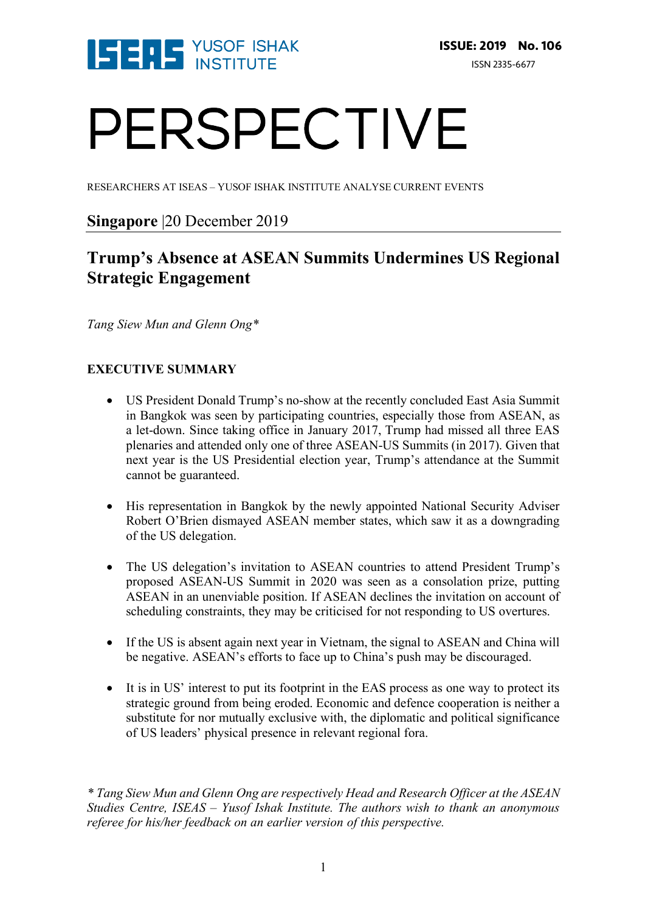

# PERSPECTIVE

RESEARCHERS AT ISEAS – YUSOF ISHAK INSTITUTE ANALYSE CURRENT EVENTS

### **Singapore** |20 December 2019

## **Trump's Absence at ASEAN Summits Undermines US Regional Strategic Engagement**

*Tang Siew Mun and Glenn Ong\**

#### **EXECUTIVE SUMMARY**

- US President Donald Trump's no-show at the recently concluded East Asia Summit in Bangkok was seen by participating countries, especially those from ASEAN, as a let-down. Since taking office in January 2017, Trump had missed all three EAS plenaries and attended only one of three ASEAN-US Summits (in 2017). Given that next year is the US Presidential election year, Trump's attendance at the Summit cannot be guaranteed.
- His representation in Bangkok by the newly appointed National Security Adviser Robert O'Brien dismayed ASEAN member states, which saw it as a downgrading of the US delegation.
- The US delegation's invitation to ASEAN countries to attend President Trump's proposed ASEAN-US Summit in 2020 was seen as a consolation prize, putting ASEAN in an unenviable position. If ASEAN declines the invitation on account of scheduling constraints, they may be criticised for not responding to US overtures.
- If the US is absent again next year in Vietnam, the signal to ASEAN and China will be negative. ASEAN's efforts to face up to China's push may be discouraged.
- It is in US' interest to put its footprint in the EAS process as one way to protect its strategic ground from being eroded. Economic and defence cooperation is neither a substitute for nor mutually exclusive with, the diplomatic and political significance of US leaders' physical presence in relevant regional fora.

*\* Tang Siew Mun and Glenn Ong are respectively Head and Research Officer at the ASEAN Studies Centre, ISEAS – Yusof Ishak Institute. The authors wish to thank an anonymous referee for his/her feedback on an earlier version of this perspective.*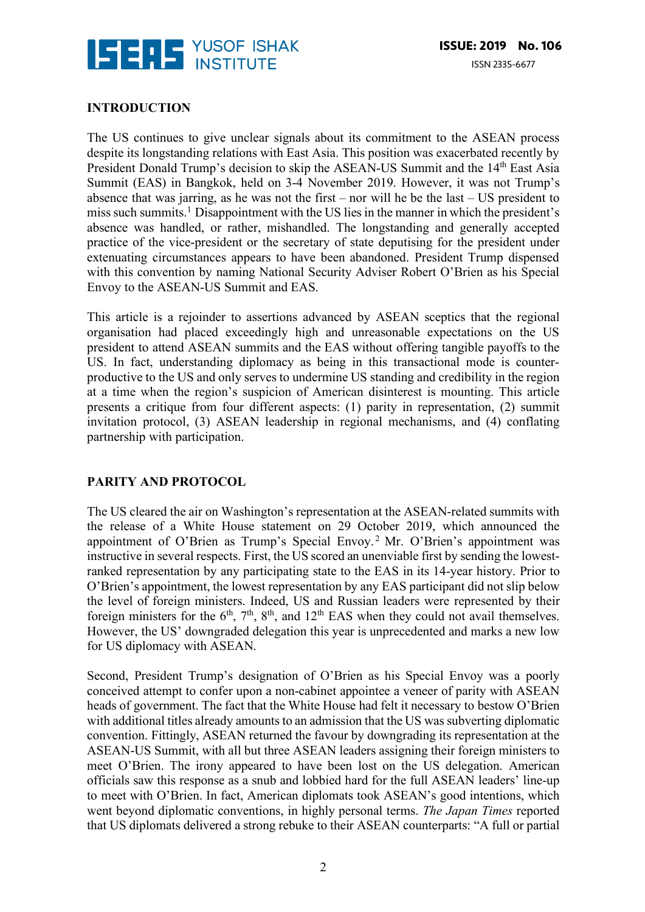

#### **INTRODUCTION**

The US continues to give unclear signals about its commitment to the ASEAN process despite its longstanding relations with East Asia. This position was exacerbated recently by President Donald Trump's decision to skip the ASEAN-US Summit and the 14<sup>th</sup> East Asia Summit (EAS) in Bangkok, held on 3-4 November 2019. However, it was not Trump's absence that was jarring, as he was not the first – nor will he be the last – US president to miss such summits.1 Disappointment with the US lies in the manner in which the president's absence was handled, or rather, mishandled. The longstanding and generally accepted practice of the vice-president or the secretary of state deputising for the president under extenuating circumstances appears to have been abandoned. President Trump dispensed with this convention by naming National Security Adviser Robert O'Brien as his Special Envoy to the ASEAN-US Summit and EAS.

This article is a rejoinder to assertions advanced by ASEAN sceptics that the regional organisation had placed exceedingly high and unreasonable expectations on the US president to attend ASEAN summits and the EAS without offering tangible payoffs to the US. In fact, understanding diplomacy as being in this transactional mode is counterproductive to the US and only serves to undermine US standing and credibility in the region at a time when the region's suspicion of American disinterest is mounting. This article presents a critique from four different aspects: (1) parity in representation, (2) summit invitation protocol, (3) ASEAN leadership in regional mechanisms, and (4) conflating partnership with participation.

#### **PARITY AND PROTOCOL**

The US cleared the air on Washington's representation at the ASEAN-related summits with the release of a White House statement on 29 October 2019, which announced the appointment of O'Brien as Trump's Special Envoy. <sup>2</sup> Mr. O'Brien's appointment was instructive in several respects. First, the US scored an unenviable first by sending the lowestranked representation by any participating state to the EAS in its 14-year history. Prior to O'Brien's appointment, the lowest representation by any EAS participant did not slip below the level of foreign ministers. Indeed, US and Russian leaders were represented by their foreign ministers for the  $6<sup>th</sup>$ ,  $7<sup>th</sup>$ ,  $8<sup>th</sup>$ , and  $12<sup>th</sup>$  EAS when they could not avail themselves. However, the US' downgraded delegation this year is unprecedented and marks a new low for US diplomacy with ASEAN.

Second, President Trump's designation of O'Brien as his Special Envoy was a poorly conceived attempt to confer upon a non-cabinet appointee a veneer of parity with ASEAN heads of government. The fact that the White House had felt it necessary to bestow O'Brien with additional titles already amounts to an admission that the US was subverting diplomatic convention. Fittingly, ASEAN returned the favour by downgrading its representation at the ASEAN-US Summit, with all but three ASEAN leaders assigning their foreign ministers to meet O'Brien. The irony appeared to have been lost on the US delegation. American officials saw this response as a snub and lobbied hard for the full ASEAN leaders' line-up to meet with O'Brien. In fact, American diplomats took ASEAN's good intentions, which went beyond diplomatic conventions, in highly personal terms. *The Japan Times* reported that US diplomats delivered a strong rebuke to their ASEAN counterparts: "A full or partial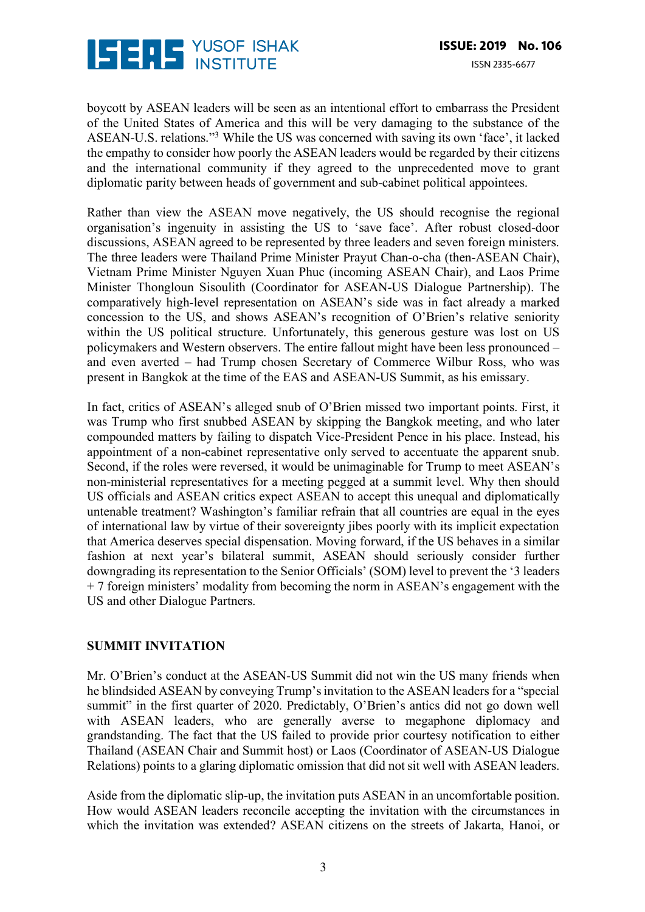

boycott by ASEAN leaders will be seen as an intentional effort to embarrass the President of the United States of America and this will be very damaging to the substance of the ASEAN-U.S. relations."3 While the US was concerned with saving its own 'face', it lacked the empathy to consider how poorly the ASEAN leaders would be regarded by their citizens and the international community if they agreed to the unprecedented move to grant diplomatic parity between heads of government and sub-cabinet political appointees.

Rather than view the ASEAN move negatively, the US should recognise the regional organisation's ingenuity in assisting the US to 'save face'. After robust closed-door discussions, ASEAN agreed to be represented by three leaders and seven foreign ministers. The three leaders were Thailand Prime Minister Prayut Chan-o-cha (then-ASEAN Chair), Vietnam Prime Minister Nguyen Xuan Phuc (incoming ASEAN Chair), and Laos Prime Minister Thongloun Sisoulith (Coordinator for ASEAN-US Dialogue Partnership). The comparatively high-level representation on ASEAN's side was in fact already a marked concession to the US, and shows ASEAN's recognition of O'Brien's relative seniority within the US political structure. Unfortunately, this generous gesture was lost on US policymakers and Western observers. The entire fallout might have been less pronounced – and even averted – had Trump chosen Secretary of Commerce Wilbur Ross, who was present in Bangkok at the time of the EAS and ASEAN-US Summit, as his emissary.

In fact, critics of ASEAN's alleged snub of O'Brien missed two important points. First, it was Trump who first snubbed ASEAN by skipping the Bangkok meeting, and who later compounded matters by failing to dispatch Vice-President Pence in his place. Instead, his appointment of a non-cabinet representative only served to accentuate the apparent snub. Second, if the roles were reversed, it would be unimaginable for Trump to meet ASEAN's non-ministerial representatives for a meeting pegged at a summit level. Why then should US officials and ASEAN critics expect ASEAN to accept this unequal and diplomatically untenable treatment? Washington's familiar refrain that all countries are equal in the eyes of international law by virtue of their sovereignty jibes poorly with its implicit expectation that America deserves special dispensation. Moving forward, if the US behaves in a similar fashion at next year's bilateral summit, ASEAN should seriously consider further downgrading its representation to the Senior Officials' (SOM) level to prevent the '3 leaders + 7 foreign ministers' modality from becoming the norm in ASEAN's engagement with the US and other Dialogue Partners.

#### **SUMMIT INVITATION**

Mr. O'Brien's conduct at the ASEAN-US Summit did not win the US many friends when he blindsided ASEAN by conveying Trump's invitation to the ASEAN leaders for a "special summit" in the first quarter of 2020. Predictably, O'Brien's antics did not go down well with ASEAN leaders, who are generally averse to megaphone diplomacy and grandstanding. The fact that the US failed to provide prior courtesy notification to either Thailand (ASEAN Chair and Summit host) or Laos (Coordinator of ASEAN-US Dialogue Relations) points to a glaring diplomatic omission that did not sit well with ASEAN leaders.

Aside from the diplomatic slip-up, the invitation puts ASEAN in an uncomfortable position. How would ASEAN leaders reconcile accepting the invitation with the circumstances in which the invitation was extended? ASEAN citizens on the streets of Jakarta, Hanoi, or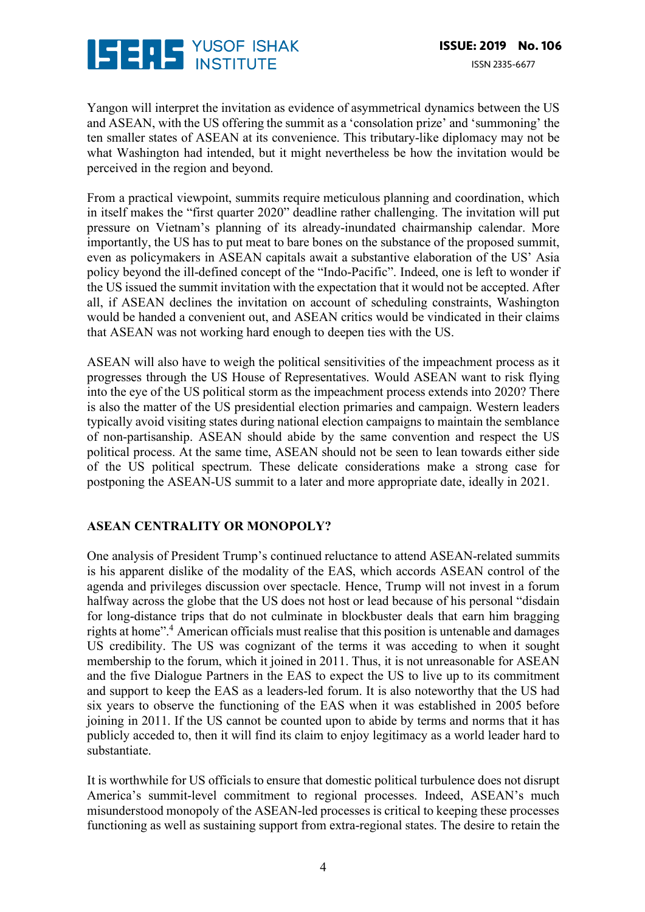

Yangon will interpret the invitation as evidence of asymmetrical dynamics between the US and ASEAN, with the US offering the summit as a 'consolation prize' and 'summoning' the ten smaller states of ASEAN at its convenience. This tributary-like diplomacy may not be what Washington had intended, but it might nevertheless be how the invitation would be perceived in the region and beyond.

From a practical viewpoint, summits require meticulous planning and coordination, which in itself makes the "first quarter 2020" deadline rather challenging. The invitation will put pressure on Vietnam's planning of its already-inundated chairmanship calendar. More importantly, the US has to put meat to bare bones on the substance of the proposed summit, even as policymakers in ASEAN capitals await a substantive elaboration of the US' Asia policy beyond the ill-defined concept of the "Indo-Pacific". Indeed, one is left to wonder if the US issued the summit invitation with the expectation that it would not be accepted. After all, if ASEAN declines the invitation on account of scheduling constraints, Washington would be handed a convenient out, and ASEAN critics would be vindicated in their claims that ASEAN was not working hard enough to deepen ties with the US.

ASEAN will also have to weigh the political sensitivities of the impeachment process as it progresses through the US House of Representatives. Would ASEAN want to risk flying into the eye of the US political storm as the impeachment process extends into 2020? There is also the matter of the US presidential election primaries and campaign. Western leaders typically avoid visiting states during national election campaigns to maintain the semblance of non-partisanship. ASEAN should abide by the same convention and respect the US political process. At the same time, ASEAN should not be seen to lean towards either side of the US political spectrum. These delicate considerations make a strong case for postponing the ASEAN-US summit to a later and more appropriate date, ideally in 2021.

#### **ASEAN CENTRALITY OR MONOPOLY?**

One analysis of President Trump's continued reluctance to attend ASEAN-related summits is his apparent dislike of the modality of the EAS, which accords ASEAN control of the agenda and privileges discussion over spectacle. Hence, Trump will not invest in a forum halfway across the globe that the US does not host or lead because of his personal "disdain for long-distance trips that do not culminate in blockbuster deals that earn him bragging rights at home".<sup>4</sup> American officials must realise that this position is untenable and damages US credibility. The US was cognizant of the terms it was acceding to when it sought membership to the forum, which it joined in 2011. Thus, it is not unreasonable for ASEAN and the five Dialogue Partners in the EAS to expect the US to live up to its commitment and support to keep the EAS as a leaders-led forum. It is also noteworthy that the US had six years to observe the functioning of the EAS when it was established in 2005 before joining in 2011. If the US cannot be counted upon to abide by terms and norms that it has publicly acceded to, then it will find its claim to enjoy legitimacy as a world leader hard to substantiate.

It is worthwhile for US officials to ensure that domestic political turbulence does not disrupt America's summit-level commitment to regional processes. Indeed, ASEAN's much misunderstood monopoly of the ASEAN-led processes is critical to keeping these processes functioning as well as sustaining support from extra-regional states. The desire to retain the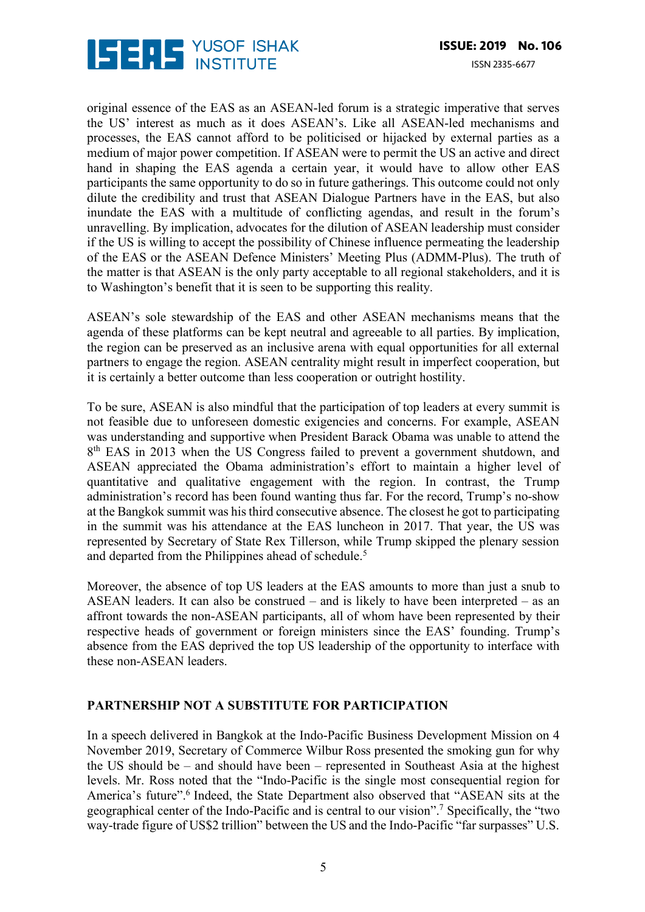

original essence of the EAS as an ASEAN-led forum is a strategic imperative that serves the US' interest as much as it does ASEAN's. Like all ASEAN-led mechanisms and processes, the EAS cannot afford to be politicised or hijacked by external parties as a medium of major power competition. If ASEAN were to permit the US an active and direct hand in shaping the EAS agenda a certain year, it would have to allow other EAS participants the same opportunity to do so in future gatherings. This outcome could not only dilute the credibility and trust that ASEAN Dialogue Partners have in the EAS, but also inundate the EAS with a multitude of conflicting agendas, and result in the forum's unravelling. By implication, advocates for the dilution of ASEAN leadership must consider if the US is willing to accept the possibility of Chinese influence permeating the leadership of the EAS or the ASEAN Defence Ministers' Meeting Plus (ADMM-Plus). The truth of the matter is that ASEAN is the only party acceptable to all regional stakeholders, and it is to Washington's benefit that it is seen to be supporting this reality.

ASEAN's sole stewardship of the EAS and other ASEAN mechanisms means that the agenda of these platforms can be kept neutral and agreeable to all parties. By implication, the region can be preserved as an inclusive arena with equal opportunities for all external partners to engage the region. ASEAN centrality might result in imperfect cooperation, but it is certainly a better outcome than less cooperation or outright hostility.

To be sure, ASEAN is also mindful that the participation of top leaders at every summit is not feasible due to unforeseen domestic exigencies and concerns. For example, ASEAN was understanding and supportive when President Barack Obama was unable to attend the 8<sup>th</sup> EAS in 2013 when the US Congress failed to prevent a government shutdown, and ASEAN appreciated the Obama administration's effort to maintain a higher level of quantitative and qualitative engagement with the region. In contrast, the Trump administration's record has been found wanting thus far. For the record, Trump's no-show at the Bangkok summit was his third consecutive absence. The closest he got to participating in the summit was his attendance at the EAS luncheon in 2017. That year, the US was represented by Secretary of State Rex Tillerson, while Trump skipped the plenary session and departed from the Philippines ahead of schedule.<sup>5</sup>

Moreover, the absence of top US leaders at the EAS amounts to more than just a snub to ASEAN leaders. It can also be construed – and is likely to have been interpreted – as an affront towards the non-ASEAN participants, all of whom have been represented by their respective heads of government or foreign ministers since the EAS' founding. Trump's absence from the EAS deprived the top US leadership of the opportunity to interface with these non-ASEAN leaders.

#### **PARTNERSHIP NOT A SUBSTITUTE FOR PARTICIPATION**

In a speech delivered in Bangkok at the Indo-Pacific Business Development Mission on 4 November 2019, Secretary of Commerce Wilbur Ross presented the smoking gun for why the US should be – and should have been – represented in Southeast Asia at the highest levels. Mr. Ross noted that the "Indo-Pacific is the single most consequential region for America's future".<sup>6</sup> Indeed, the State Department also observed that "ASEAN sits at the geographical center of the Indo-Pacific and is central to our vision".7 Specifically, the "two way-trade figure of US\$2 trillion" between the US and the Indo-Pacific "far surpasses" U.S.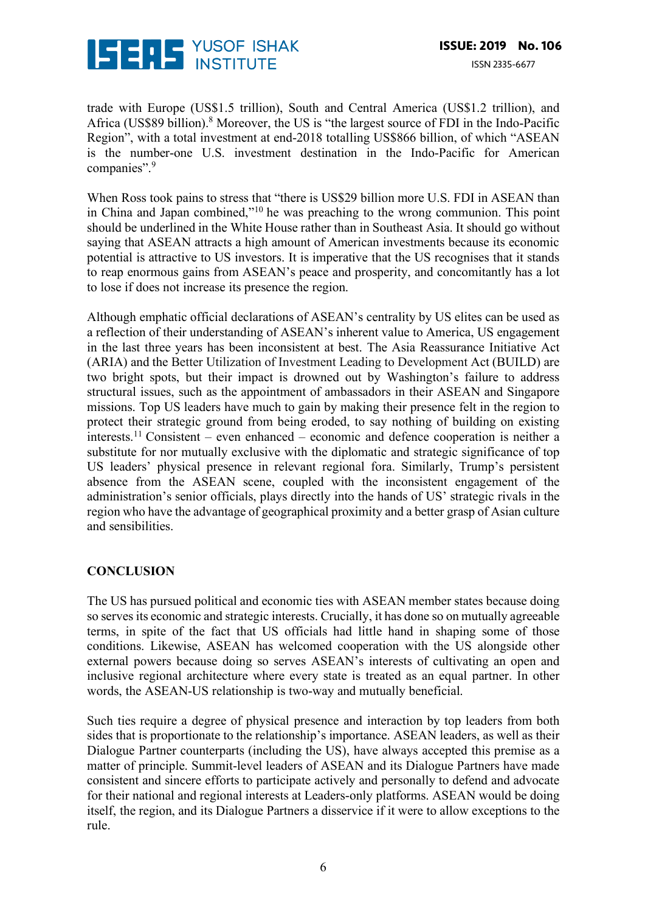

trade with Europe (US\$1.5 trillion), South and Central America (US\$1.2 trillion), and Africa (US\$89 billion).<sup>8</sup> Moreover, the US is "the largest source of FDI in the Indo-Pacific Region", with a total investment at end-2018 totalling US\$866 billion, of which "ASEAN is the number-one U.S. investment destination in the Indo-Pacific for American companies".<sup>9</sup>

When Ross took pains to stress that "there is US\$29 billion more U.S. FDI in ASEAN than in China and Japan combined,"10 he was preaching to the wrong communion. This point should be underlined in the White House rather than in Southeast Asia. It should go without saying that ASEAN attracts a high amount of American investments because its economic potential is attractive to US investors. It is imperative that the US recognises that it stands to reap enormous gains from ASEAN's peace and prosperity, and concomitantly has a lot to lose if does not increase its presence the region.

Although emphatic official declarations of ASEAN's centrality by US elites can be used as a reflection of their understanding of ASEAN's inherent value to America, US engagement in the last three years has been inconsistent at best. The Asia Reassurance Initiative Act (ARIA) and the Better Utilization of Investment Leading to Development Act (BUILD) are two bright spots, but their impact is drowned out by Washington's failure to address structural issues, such as the appointment of ambassadors in their ASEAN and Singapore missions. Top US leaders have much to gain by making their presence felt in the region to protect their strategic ground from being eroded, to say nothing of building on existing interests.11 Consistent – even enhanced – economic and defence cooperation is neither a substitute for nor mutually exclusive with the diplomatic and strategic significance of top US leaders' physical presence in relevant regional fora. Similarly, Trump's persistent absence from the ASEAN scene, coupled with the inconsistent engagement of the administration's senior officials, plays directly into the hands of US' strategic rivals in the region who have the advantage of geographical proximity and a better grasp of Asian culture and sensibilities.

#### **CONCLUSION**

The US has pursued political and economic ties with ASEAN member states because doing so serves its economic and strategic interests. Crucially, it has done so on mutually agreeable terms, in spite of the fact that US officials had little hand in shaping some of those conditions. Likewise, ASEAN has welcomed cooperation with the US alongside other external powers because doing so serves ASEAN's interests of cultivating an open and inclusive regional architecture where every state is treated as an equal partner. In other words, the ASEAN-US relationship is two-way and mutually beneficial.

Such ties require a degree of physical presence and interaction by top leaders from both sides that is proportionate to the relationship's importance. ASEAN leaders, as well as their Dialogue Partner counterparts (including the US), have always accepted this premise as a matter of principle. Summit-level leaders of ASEAN and its Dialogue Partners have made consistent and sincere efforts to participate actively and personally to defend and advocate for their national and regional interests at Leaders-only platforms. ASEAN would be doing itself, the region, and its Dialogue Partners a disservice if it were to allow exceptions to the rule.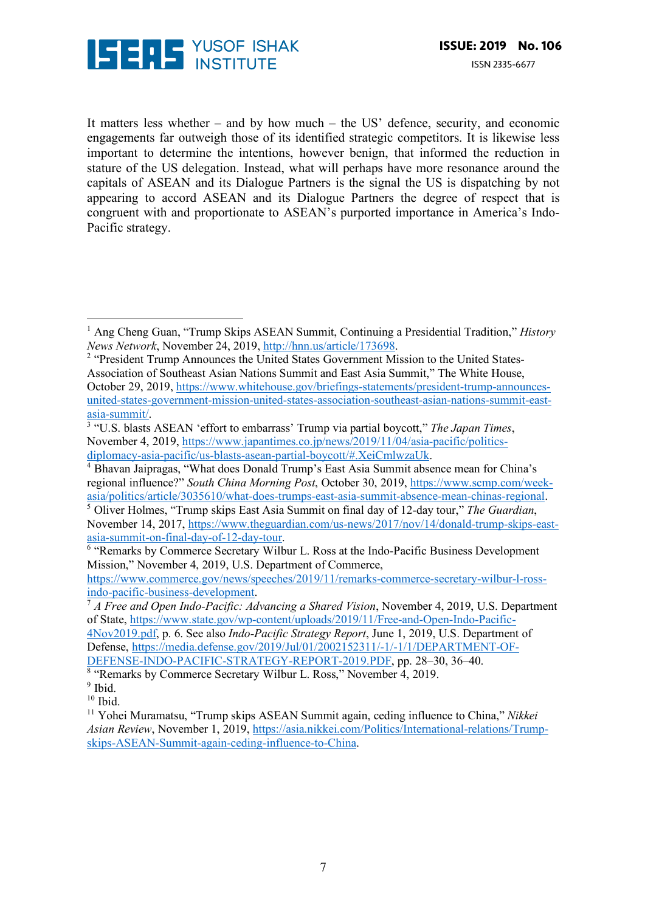

 

It matters less whether – and by how much – the US' defence, security, and economic engagements far outweigh those of its identified strategic competitors. It is likewise less important to determine the intentions, however benign, that informed the reduction in stature of the US delegation. Instead, what will perhaps have more resonance around the capitals of ASEAN and its Dialogue Partners is the signal the US is dispatching by not appearing to accord ASEAN and its Dialogue Partners the degree of respect that is congruent with and proportionate to ASEAN's purported importance in America's Indo-Pacific strategy.

November 14, 2017, https://www.theguardian.com/us-news/2017/nov/14/donald-trump-skips-eastasia-summit-on-final-day-of-12-day-tour. 6 "Remarks by Commerce Secretary Wilbur L. Ross at the Indo-Pacific Business Development

Mission," November 4, 2019, U.S. Department of Commerce,

https://www.commerce.gov/news/speeches/2019/11/remarks-commerce-secretary-wilbur-l-ross-

4Nov2019.pdf, p. 6. See also *Indo-Pacific Strategy Report*, June 1, 2019, U.S. Department of Defense, https://media.defense.gov/2019/Jul/01/2002152311/-1/-1/1/DEPARTMENT-OF-DEFENSE-INDO-PACIFIC-STRATEGY-REPORT-2019.PDF, pp. 28–30, 36–40.

<sup>8</sup> "Remarks by Commerce Secretary Wilbur L. Ross," November 4, 2019.

<sup>1</sup> Ang Cheng Guan, "Trump Skips ASEAN Summit, Continuing a Presidential Tradition," *History News Network*, November 24, 2019, http://hnn.us/article/173698.<br><sup>2</sup> "President Trump Announces the United States Government Mission to the United States-

Association of Southeast Asian Nations Summit and East Asia Summit," The White House, October 29, 2019, https://www.whitehouse.gov/briefings-statements/president-trump-announcesunited-states-government-mission-united-states-association-southeast-asian-nations-summit-eastasia-summit/. 3 "U.S. blasts ASEAN 'effort to embarrass' Trump via partial boycott," *The Japan Times*,

November 4, 2019, https://www.japantimes.co.jp/news/2019/11/04/asia-pacific/politicsdiplomacy-asia-pacific/us-blasts-asean-partial-boycott/#.XeiCmlwzaUk.

<sup>4</sup> Bhavan Jaipragas, "What does Donald Trump's East Asia Summit absence mean for China's regional influence?" *South China Morning Post*, October 30, 2019, https://www.scmp.com/weekasia/politics/article/3035610/what-does-trumps-east-asia-summit-absence-mean-chinas-regional. 5 Oliver Holmes, "Trump skips East Asia Summit on final day of 12-day tour," *The Guardian*,

indo-pacific-business-development. 7 *A Free and Open Indo-Pacific: Advancing a Shared Vision*, November 4, 2019, U.S. Department of State, https://www.state.gov/wp-content/uploads/2019/11/Free-and-Open-Indo-Pacific-

 $9$  Ibid.

 $10$  Ibid.

<sup>&</sup>lt;sup>11</sup> Yohei Muramatsu, "Trump skips ASEAN Summit again, ceding influence to China," *Nikkei Asian Review*, November 1, 2019, https://asia.nikkei.com/Politics/International-relations/Trumpskips-ASEAN-Summit-again-ceding-influence-to-China.